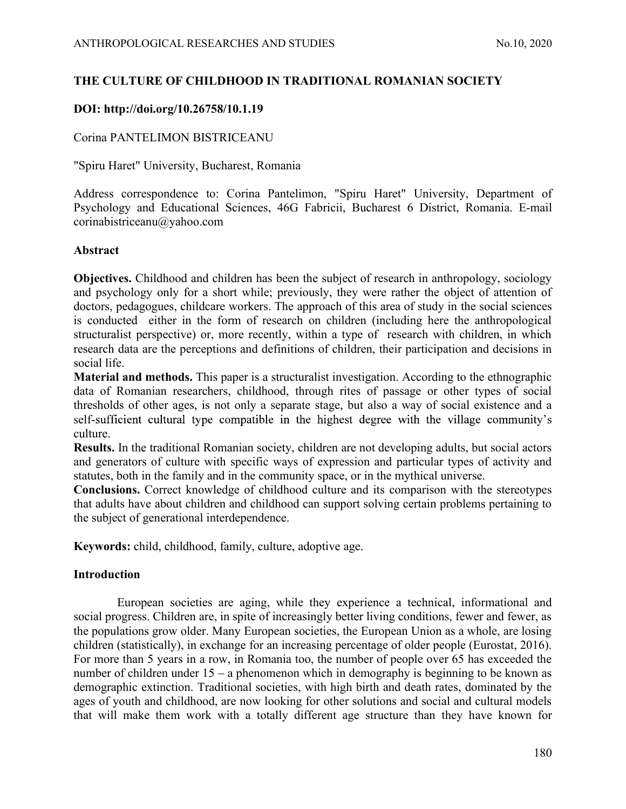# ANTHROPOLOGICAL RESEARCHES AND STUDIES No.10, 2020<br>
THE CULTURE OF CHILDHOOD IN TRADITIONAL ROMANIAN SOCIETY<br>
DOI: http://doi.org/10.26758/10.1.19 THE CULTURE OF CHILDHOOD IN TRADITIONAL ROMANIAN SOCIETY

# DOI: http://doi.org/10.26758/10.1.19

# Corina PANTELIMON BISTRICEANU

"Spiru Haret" University, Bucharest, Romania

Address correspondence to: Corina Pantelimon, "Spiru Haret" University, Department of Psychology and Educational Sciences, 46G Fabricii, Bucharest 6 District, Romania. E-mail corinabistriceanu@yahoo.com

# Abstract

Objectives. Childhood and children has been the subject of research in anthropology, sociology and psychology only for a short while; previously, they were rather the object of attention of doctors, pedagogues, childcare workers. The approach of this area of study in the social sciences is conducted either in the form of research on children (including here the anthropological structuralist perspective) or, more recently, within a type of research with children, in which research data are the perceptions and definitions of children, their participation and decisions in social life.

Material and methods. This paper is a structuralist investigation. According to the ethnographic data of Romanian researchers, childhood, through rites of passage or other types of social thresholds of other ages, is not only a separate stage, but also a way of social existence and a self-sufficient cultural type compatible in the highest degree with the village community's culture.

Results. In the traditional Romanian society, children are not developing adults, but social actors and generators of culture with specific ways of expression and particular types of activity and statutes, both in the family and in the community space, or in the mythical universe.

Conclusions. Correct knowledge of childhood culture and its comparison with the stereotypes that adults have about children and childhood can support solving certain problems pertaining to the subject of generational interdependence.

Keywords: child, childhood, family, culture, adoptive age.

# Introduction

European societies are aging, while they experience a technical, informational and social progress. Children are, in spite of increasingly better living conditions, fewer and fewer, as the populations grow older. Many European societies, the European Union as a whole, are losing children (statistically), in exchange for an increasing percentage of older people (Eurostat, 2016). For more than 5 years in a row, in Romania too, the number of people over 65 has exceeded the number of children under  $15 - a$  phenomenon which in demography is beginning to be known as demographic extinction. Traditional societies, with high birth and death rates, dominated by the ages of youth and childhood, are now looking for other solutions and social and cultural models that will make them work with a totally different age structure than they have known for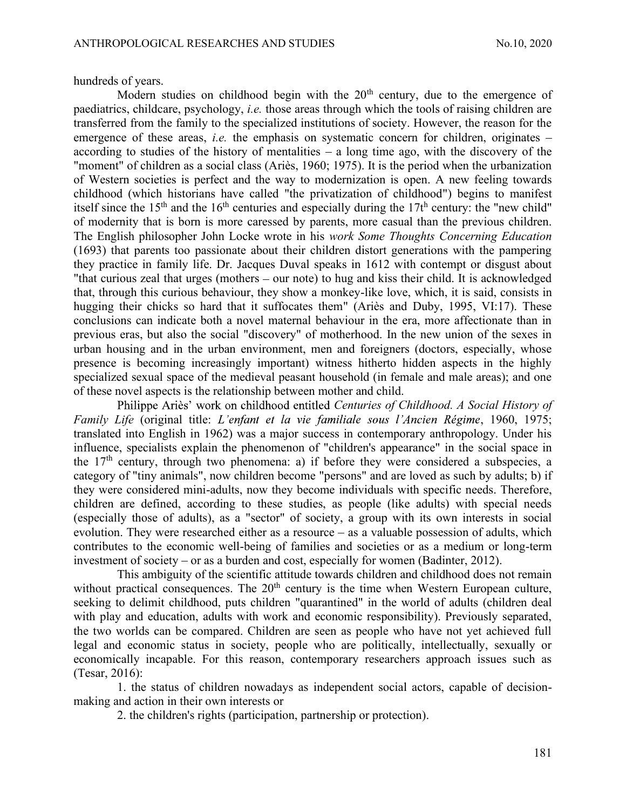hundreds of years.

ANTHROPOLOGICAL RESEARCHES AND STUDIES<br>hundreds of years.<br>Modern studies on childhood begin with the  $20^{th}$  century, due to the emergence of<br>paediatrics, childcare, psychology, *i.e.* those areas through which the tools Modern studies on childhood begin with the  $20<sup>th</sup>$  century, due to the emergence of paediatrics, childcare, psychology, i.e. those areas through which the tools of raising children are transferred from the family to the specialized institutions of society. However, the reason for the emergence of these areas, *i.e.* the emphasis on systematic concern for children, originates  $$ according to studies of the history of mentalities  $-$  a long time ago, with the discovery of the "moment" of children as a social class (Ariès, 1960; 1975). It is the period when the urbanization of Western societies is perfect and the way to modernization is open. A new feeling towards childhood (which historians have called "the privatization of childhood") begins to manifest itself since the 15<sup>th</sup> and the 16<sup>th</sup> centuries and especially during the 17t<sup>h</sup> century: the "new child" of modernity that is born is more caressed by parents, more casual than the previous children. The English philosopher John Locke wrote in his work Some Thoughts Concerning Education (1693) that parents too passionate about their children distort generations with the pampering they practice in family life. Dr. Jacques Duval speaks in 1612 with contempt or disgust about "that curious zeal that urges (mothers  $-$  our note) to hug and kiss their child. It is acknowledged that, through this curious behaviour, they show a monkey-like love, which, it is said, consists in hugging their chicks so hard that it suffocates them" (Ariès and Duby, 1995, VI:17). These conclusions can indicate both a novel maternal behaviour in the era, more affectionate than in previous eras, but also the social "discovery" of motherhood. In the new union of the sexes in urban housing and in the urban environment, men and foreigners (doctors, especially, whose presence is becoming increasingly important) witness hitherto hidden aspects in the highly specialized sexual space of the medieval peasant household (in female and male areas); and one of these novel aspects is the relationship between mother and child.

Philippe Ariès' work on childhood entitled Centuries of Childhood. A Social History of Family Life (original title: L'enfant et la vie familiale sous l'Ancien Régime, 1960, 1975; translated into English in 1962) was a major success in contemporary anthropology. Under his influence, specialists explain the phenomenon of "children's appearance" in the social space in the  $17<sup>th</sup>$  century, through two phenomena: a) if before they were considered a subspecies, a category of "tiny animals", now children become "persons" and are loved as such by adults; b) if they were considered mini-adults, now they become individuals with specific needs. Therefore, children are defined, according to these studies, as people (like adults) with special needs (especially those of adults), as a "sector" of society, a group with its own interests in social evolution. They were researched either as a resource  $-$  as a valuable possession of adults, which contributes to the economic well-being of families and societies or as a medium or long-term investment of society  $-$  or as a burden and cost, especially for women (Badinter, 2012).

This ambiguity of the scientific attitude towards children and childhood does not remain without practical consequences. The  $20<sup>th</sup>$  century is the time when Western European culture, seeking to delimit childhood, puts children "quarantined" in the world of adults (children deal with play and education, adults with work and economic responsibility). Previously separated, the two worlds can be compared. Children are seen as people who have not yet achieved full legal and economic status in society, people who are politically, intellectually, sexually or economically incapable. For this reason, contemporary researchers approach issues such as (Tesar, 2016):

1. the status of children nowadays as independent social actors, capable of decisionmaking and action in their own interests or

2. the children's rights (participation, partnership or protection).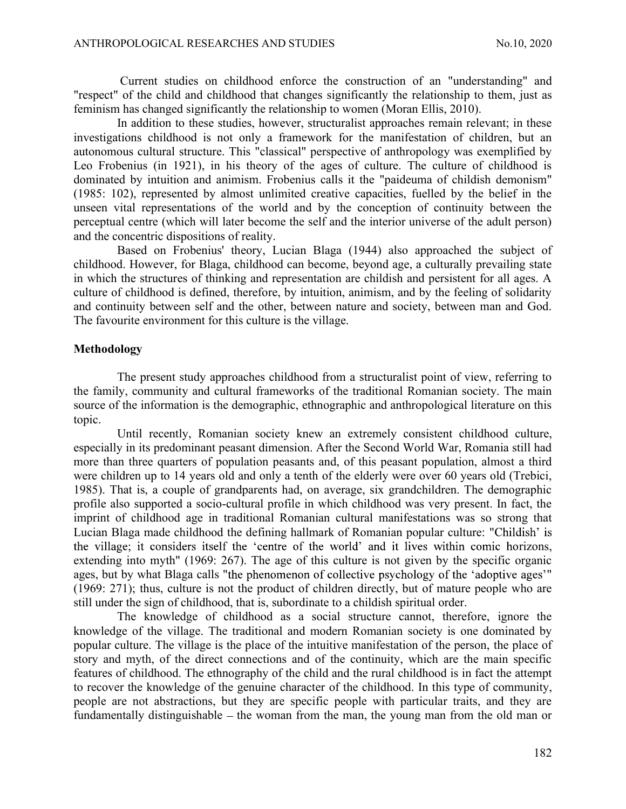ANTHROPOLOGICAL RESEARCHES AND STUDIES<br>
Current studies on childhood enforce the construction of an "understanding" and<br>
"respect" of the child and childhood that changes significantly the relationship to them, just as<br>
fe Current studies on childhood enforce the construction of an "understanding" and "respect" of the child and childhood that changes significantly the relationship to them, just as feminism has changed significantly the relationship to women (Moran Ellis, 2010).

In addition to these studies, however, structuralist approaches remain relevant; in these investigations childhood is not only a framework for the manifestation of children, but an autonomous cultural structure. This "classical" perspective of anthropology was exemplified by Leo Frobenius (in 1921), in his theory of the ages of culture. The culture of childhood is dominated by intuition and animism. Frobenius calls it the "paideuma of childish demonism" (1985: 102), represented by almost unlimited creative capacities, fuelled by the belief in the unseen vital representations of the world and by the conception of continuity between the perceptual centre (which will later become the self and the interior universe of the adult person) and the concentric dispositions of reality.

Based on Frobenius' theory, Lucian Blaga (1944) also approached the subject of childhood. However, for Blaga, childhood can become, beyond age, a culturally prevailing state in which the structures of thinking and representation are childish and persistent for all ages. A culture of childhood is defined, therefore, by intuition, animism, and by the feeling of solidarity and continuity between self and the other, between nature and society, between man and God. The favourite environment for this culture is the village.

### Methodology

The present study approaches childhood from a structuralist point of view, referring to the family, community and cultural frameworks of the traditional Romanian society. The main source of the information is the demographic, ethnographic and anthropological literature on this topic.

Until recently, Romanian society knew an extremely consistent childhood culture, especially in its predominant peasant dimension. After the Second World War, Romania still had more than three quarters of population peasants and, of this peasant population, almost a third were children up to 14 years old and only a tenth of the elderly were over 60 years old (Trebici, 1985). That is, a couple of grandparents had, on average, six grandchildren. The demographic profile also supported a socio-cultural profile in which childhood was very present. In fact, the imprint of childhood age in traditional Romanian cultural manifestations was so strong that Lucian Blaga made childhood the defining hallmark of Romanian popular culture: " the village; it considers itself the 'centre of the world' and it lives within comic horizons, extending into myth" (1969: 267). The age of this culture is not given by the specific organic ages, but by what Blaga calls "the phenomenon of collective psychology of the 'adoptive ages'" (1969: 271); thus, culture is not the product of children directly, but of mature people who are still under the sign of childhood, that is, subordinate to a childish spiritual order.

The knowledge of childhood as a social structure cannot, therefore, ignore the knowledge of the village. The traditional and modern Romanian society is one dominated by popular culture. The village is the place of the intuitive manifestation of the person, the place of story and myth, of the direct connections and of the continuity, which are the main specific features of childhood. The ethnography of the child and the rural childhood is in fact the attempt to recover the knowledge of the genuine character of the childhood. In this type of community, people are not abstractions, but they are specific people with particular traits, and they are fundamentally distinguishable  $-$  the woman from the man, the young man from the old man or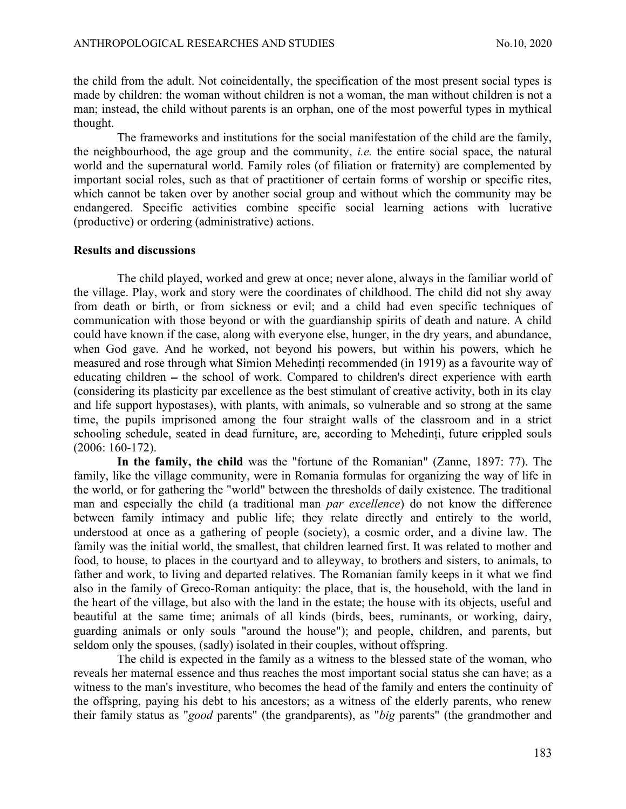ANTHROPOLOGICAL RESEARCHES AND STUDIES<br>the child from the adult. Not coincidentally, the specification of the most present social types is<br>made by children: the woman without children is not a woman, the man without childr the child from the adult. Not coincidentally, the specification of the most present social types is made by children: the woman without children is not a woman, the man without children is not a man; instead, the child without parents is an orphan, one of the most powerful types in mythical thought.

The frameworks and institutions for the social manifestation of the child are the family, the neighbourhood, the age group and the community, *i.e.* the entire social space, the natural world and the supernatural world. Family roles (of filiation or fraternity) are complemented by important social roles, such as that of practitioner of certain forms of worship or specific rites, which cannot be taken over by another social group and without which the community may be endangered. Specific activities combine specific social learning actions with lucrative (productive) or ordering (administrative) actions.

### Results and discussions

The child played, worked and grew at once; never alone, always in the familiar world of the village. Play, work and story were the coordinates of childhood. The child did not shy away from death or birth, or from sickness or evil; and a child had even specific techniques of communication with those beyond or with the guardianship spirits of death and nature. A child could have known if the case, along with everyone else, hunger, in the dry years, and abundance, when God gave. And he worked, not beyond his powers, but within his powers, which he measured and rose through what Simion Mehedinti recommended (in 1919) as a favourite way of educating children – the school of work. Compared to children's direct experience with earth (considering its plasticity par excellence as the best stimulant of creative activity, both in its clay and life support hypostases), with plants, with animals, so vulnerable and so strong at the same time, the pupils imprisoned among the four straight walls of the classroom and in a strict schooling schedule, seated in dead furniture, are, according to Mehedinti, future crippled souls (2006: 160-172).

In the family, the child was the "fortune of the Romanian" (Zanne, 1897: 77). The family, like the village community, were in Romania formulas for organizing the way of life in the world, or for gathering the "world" between the thresholds of daily existence. The traditional man and especially the child (a traditional man par excellence) do not know the difference between family intimacy and public life; they relate directly and entirely to the world, understood at once as a gathering of people (society), a cosmic order, and a divine law. The family was the initial world, the smallest, that children learned first. It was related to mother and food, to house, to places in the courtyard and to alleyway, to brothers and sisters, to animals, to father and work, to living and departed relatives. The Romanian family keeps in it what we find also in the family of Greco-Roman antiquity: the place, that is, the household, with the land in the heart of the village, but also with the land in the estate; the house with its objects, useful and beautiful at the same time; animals of all kinds (birds, bees, ruminants, or working, dairy, guarding animals or only souls "around the house"); and people, children, and parents, but seldom only the spouses, (sadly) isolated in their couples, without offspring.

The child is expected in the family as a witness to the blessed state of the woman, who reveals her maternal essence and thus reaches the most important social status she can have; as a witness to the man's investiture, who becomes the head of the family and enters the continuity of the offspring, paying his debt to his ancestors; as a witness of the elderly parents, who renew their family status as "good parents" (the grandparents), as "big parents" (the grandmother and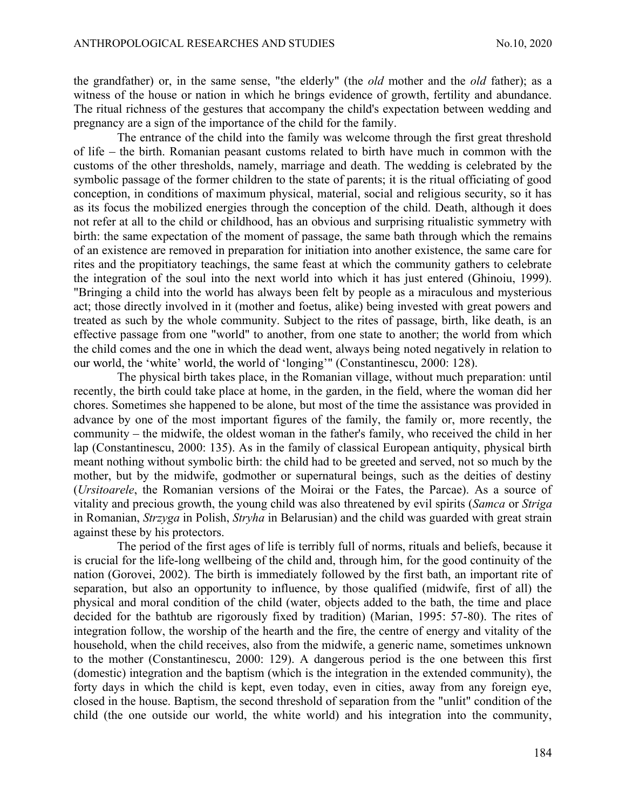ANTHROPOLOGICAL RESEARCHES AND STUDIES<br>the grandfather) or, in the same sense, "the elderly" (the *old* mother and the *old* father); as a<br>witness of the house or nation in which he brings evidence of growth, fertility and the grandfather) or, in the same sense, "the elderly" (the old mother and the old father); as a witness of the house or nation in which he brings evidence of growth, fertility and abundance. The ritual richness of the gestures that accompany the child's expectation between wedding and pregnancy are a sign of the importance of the child for the family.

The entrance of the child into the family was welcome through the first great threshold of life – the birth. Romanian peasant customs related to birth have much in common with the customs of the other thresholds, namely, marriage and death. The wedding is celebrated by the symbolic passage of the former children to the state of parents; it is the ritual officiating of good conception, in conditions of maximum physical, material, social and religious security, so it has as its focus the mobilized energies through the conception of the child. Death, although it does not refer at all to the child or childhood, has an obvious and surprising ritualistic symmetry with birth: the same expectation of the moment of passage, the same bath through which the remains of an existence are removed in preparation for initiation into another existence, the same care for rites and the propitiatory teachings, the same feast at which the community gathers to celebrate the integration of the soul into the next world into which it has just entered (Ghinoiu, 1999). "Bringing a child into the world has always been felt by people as a miraculous and mysterious act; those directly involved in it (mother and foetus, alike) being invested with great powers and treated as such by the whole community. Subject to the rites of passage, birth, like death, is an effective passage from one "world" to another, from one state to another; the world from which the child comes and the one in which the dead went, always being noted negatively in relation to our world, the 'white' world, the world of 'longing'" (Constantinescu, 2000: 128).

The physical birth takes place, in the Romanian village, without much preparation: until recently, the birth could take place at home, in the garden, in the field, where the woman did her chores. Sometimes she happened to be alone, but most of the time the assistance was provided in advance by one of the most important figures of the family, the family or, more recently, the community – the midwife, the oldest woman in the father's family, who received the child in her lap (Constantinescu, 2000: 135). As in the family of classical European antiquity, physical birth meant nothing without symbolic birth: the child had to be greeted and served, not so much by the mother, but by the midwife, godmother or supernatural beings, such as the deities of destiny (Ursitoarele, the Romanian versions of the Moirai or the Fates, the Parcae). As a source of vitality and precious growth, the young child was also threatened by evil spirits (Samca or Striga in Romanian, Strzyga in Polish, Stryha in Belarusian) and the child was guarded with great strain against these by his protectors.

The period of the first ages of life is terribly full of norms, rituals and beliefs, because it is crucial for the life-long wellbeing of the child and, through him, for the good continuity of the nation (Gorovei, 2002). The birth is immediately followed by the first bath, an important rite of separation, but also an opportunity to influence, by those qualified (midwife, first of all) the physical and moral condition of the child (water, objects added to the bath, the time and place decided for the bathtub are rigorously fixed by tradition) (Marian, 1995: 57-80). The rites of integration follow, the worship of the hearth and the fire, the centre of energy and vitality of the household, when the child receives, also from the midwife, a generic name, sometimes unknown to the mother (Constantinescu, 2000: 129). A dangerous period is the one between this first (domestic) integration and the baptism (which is the integration in the extended community), the forty days in which the child is kept, even today, even in cities, away from any foreign eye, closed in the house. Baptism, the second threshold of separation from the "unlit" condition of the child (the one outside our world, the white world) and his integration into the community,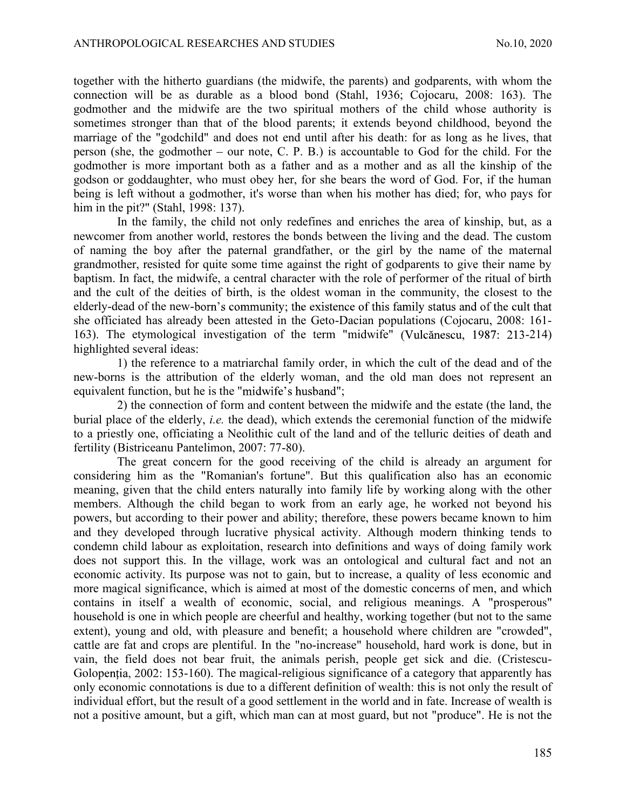ANTHROPOLOGICAL RESEARCHES AND STUDIES<br>
ANTHROPOLOGICAL RESEARCHES AND STUDIES<br>
AND STUDIES<br>
AND STUDIES<br>
AND STUDIES<br>
AND STUDIES<br>
AND STUDIES<br>
AND STUDIES<br>
AND SUPERTING AND SUPPARTS, With whom the<br>
connection will be as together with the hitherto guardians (the midwife, the parents) and godparents, with whom the connection will be as durable as a blood bond (Stahl, 1936; Cojocaru, 2008: 163). The godmother and the midwife are the two spiritual mothers of the child whose authority is sometimes stronger than that of the blood parents; it extends beyond childhood, beyond the marriage of the "godchild" and does not end until after his death: for as long as he lives, that person (she, the godmother  $-$  our note, C. P. B.) is accountable to God for the child. For the godmother is more important both as a father and as a mother and as all the kinship of the godson or goddaughter, who must obey her, for she bears the word of God. For, if the human being is left without a godmother, it's worse than when his mother has died; for, who pays for him in the pit?" (Stahl, 1998: 137).

In the family, the child not only redefines and enriches the area of kinship, but, as a newcomer from another world, restores the bonds between the living and the dead. The custom of naming the boy after the paternal grandfather, or the girl by the name of the maternal grandmother, resisted for quite some time against the right of godparents to give their name by baptism. In fact, the midwife, a central character with the role of performer of the ritual of birth and the cult of the deities of birth, is the oldest woman in the community, the closest to the elderly-dead of the new-born's community; the existence of this family status and of the cult that she officiated has already been attested in the Geto-Dacian populations (Cojocaru, 2008: 161- 163). The etymological investigation of the term "midwife" (Vulcănescu, 1987: 213-214) highlighted several ideas:

1) the reference to a matriarchal family order, in which the cult of the dead and of the new-borns is the attribution of the elderly woman, and the old man does not represent an equivalent function, but he is the "midwife's husband";

2) the connection of form and content between the midwife and the estate (the land, the burial place of the elderly, i.e. the dead), which extends the ceremonial function of the midwife to a priestly one, officiating a Neolithic cult of the land and of the telluric deities of death and fertility (Bistriceanu Pantelimon, 2007: 77-80).

The great concern for the good receiving of the child is already an argument for considering him as the "Romanian's fortune". But this qualification also has an economic meaning, given that the child enters naturally into family life by working along with the other members. Although the child began to work from an early age, he worked not beyond his powers, but according to their power and ability; therefore, these powers became known to him and they developed through lucrative physical activity. Although modern thinking tends to condemn child labour as exploitation, research into definitions and ways of doing family work does not support this. In the village, work was an ontological and cultural fact and not an economic activity. Its purpose was not to gain, but to increase, a quality of less economic and more magical significance, which is aimed at most of the domestic concerns of men, and which contains in itself a wealth of economic, social, and religious meanings. A "prosperous" household is one in which people are cheerful and healthy, working together (but not to the same extent), young and old, with pleasure and benefit; a household where children are "crowded", cattle are fat and crops are plentiful. In the "no-increase" household, hard work is done, but in vain, the field does not bear fruit, the animals perish, people get sick and die. (Cristescu-Golopentia, 2002: 153-160). The magical-religious significance of a category that apparently has only economic connotations is due to a different definition of wealth: this is not only the result of individual effort, but the result of a good settlement in the world and in fate. Increase of wealth is not a positive amount, but a gift, which man can at most guard, but not "produce". He is not the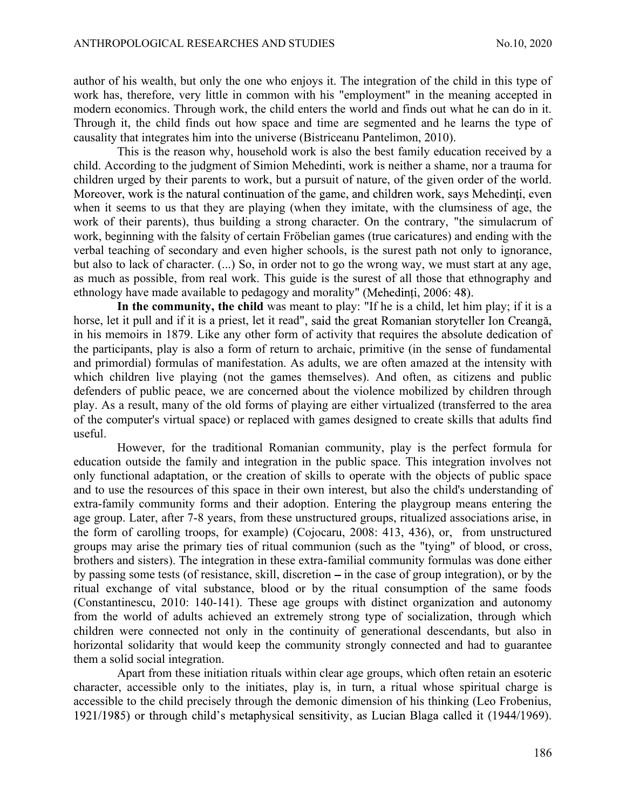ANTHROPOLOGICAL RESEARCHES AND STUDIES<br>
author of his wealth, but only the one who enjoys it. The integration of the child in this type of<br>
work has, therefore, very little in common with his "employment" in the meaning ac author of his wealth, but only the one who enjoys it. The integration of the child in this type of work has, therefore, very little in common with his "employment" in the meaning accepted in modern economics. Through work, the child enters the world and finds out what he can do in it. Through it, the child finds out how space and time are segmented and he learns the type of causality that integrates him into the universe (Bistriceanu Pantelimon, 2010).

This is the reason why, household work is also the best family education received by a child. According to the judgment of Simion Mehedinti, work is neither a shame, nor a trauma for children urged by their parents to work, but a pursuit of nature, of the given order of the world. Moreover, work is the natural continuation of the game, and children work, says Mehedinti, even when it seems to us that they are playing (when they imitate, with the clumsiness of age, the work of their parents), thus building a strong character. On the contrary, "the simulacrum of work, beginning with the falsity of certain Fröbelian games (true caricatures) and ending with the verbal teaching of secondary and even higher schools, is the surest path not only to ignorance, but also to lack of character. (...) So, in order not to go the wrong way, we must start at any age, as much as possible, from real work. This guide is the surest of all those that ethnography and ethnology have made available to pedagogy and morality" (Mehedinti, 2006: 48).

In the community, the child was meant to play: "If he is a child, let him play; if it is a horse, let it pull and if it is a priest, let it read", said the great Romanian storyteller Ion Creangă, in his memoirs in 1879. Like any other form of activity that requires the absolute dedication of the participants, play is also a form of return to archaic, primitive (in the sense of fundamental and primordial) formulas of manifestation. As adults, we are often amazed at the intensity with which children live playing (not the games themselves). And often, as citizens and public defenders of public peace, we are concerned about the violence mobilized by children through play. As a result, many of the old forms of playing are either virtualized (transferred to the area of the computer's virtual space) or replaced with games designed to create skills that adults find useful.

However, for the traditional Romanian community, play is the perfect formula for education outside the family and integration in the public space. This integration involves not only functional adaptation, or the creation of skills to operate with the objects of public space and to use the resources of this space in their own interest, but also the child's understanding of extra-family community forms and their adoption. Entering the playgroup means entering the age group. Later, after 7-8 years, from these unstructured groups, ritualized associations arise, in the form of carolling troops, for example) (Cojocaru, 2008: 413, 436), or, from unstructured groups may arise the primary ties of ritual communion (such as the "tying" of blood, or cross, brothers and sisters). The integration in these extra-familial community formulas was done either by passing some tests (of resistance, skill, discretion  $-$  in the case of group integration), or by the ritual exchange of vital substance, blood or by the ritual consumption of the same foods (Constantinescu, 2010: 140-141). These age groups with distinct organization and autonomy from the world of adults achieved an extremely strong type of socialization, through which children were connected not only in the continuity of generational descendants, but also in horizontal solidarity that would keep the community strongly connected and had to guarantee them a solid social integration.

Apart from these initiation rituals within clear age groups, which often retain an esoteric character, accessible only to the initiates, play is, in turn, a ritual whose spiritual charge is accessible to the child precisely through the demonic dimension of his thinking (Leo Frobenius, 1921/1985) or through child's metaphysical sensitivity, as Lucian Blaga called it (1944/1969).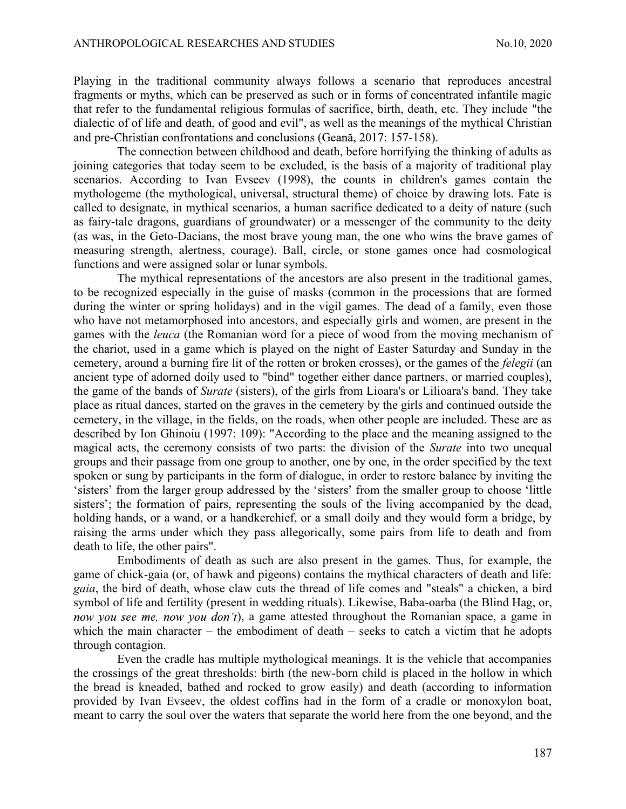ANTHROPOLOGICAL RESEARCHES AND STUDIES<br>
Playing in the traditional community always follows a scenario that reproduces ancestral<br>
fragments or myths, which can be preserved as such or in forms of concentrated infantile mag Playing in the traditional community always follows a scenario that reproduces ancestral fragments or myths, which can be preserved as such or in forms of concentrated infantile magic that refer to the fundamental religious formulas of sacrifice, birth, death, etc. They include "the dialectic of of life and death, of good and evil", as well as the meanings of the mythical Christian and pre-Christian confrontations and conclusions (Geană, 2017: 157-158).

The connection between childhood and death, before horrifying the thinking of adults as joining categories that today seem to be excluded, is the basis of a majority of traditional play scenarios. According to Ivan Evseev (1998), the counts in children's games contain the mythologeme (the mythological, universal, structural theme) of choice by drawing lots. Fate is called to designate, in mythical scenarios, a human sacrifice dedicated to a deity of nature (such as fairy-tale dragons, guardians of groundwater) or a messenger of the community to the deity (as was, in the Geto-Dacians, the most brave young man, the one who wins the brave games of measuring strength, alertness, courage). Ball, circle, or stone games once had cosmological functions and were assigned solar or lunar symbols.

The mythical representations of the ancestors are also present in the traditional games, to be recognized especially in the guise of masks (common in the processions that are formed during the winter or spring holidays) and in the vigil games. The dead of a family, even those who have not metamorphosed into ancestors, and especially girls and women, are present in the games with the leuca (the Romanian word for a piece of wood from the moving mechanism of the chariot, used in a game which is played on the night of Easter Saturday and Sunday in the cemetery, around a burning fire lit of the rotten or broken crosses), or the games of the felegii (an ancient type of adorned doily used to "bind" together either dance partners, or married couples), the game of the bands of Surate (sisters), of the girls from Lioara's or Lilioara's band. They take place as ritual dances, started on the graves in the cemetery by the girls and continued outside the cemetery, in the village, in the fields, on the roads, when other people are included. These are as described by Ion Ghinoiu (1997: 109): "According to the place and the meaning assigned to the magical acts, the ceremony consists of two parts: the division of the Surate into two unequal groups and their passage from one group to another, one by one, in the order specified by the text spoken or sung by participants in the form of dialogue, in order to restore balance by inviting the 'sisters' from the larger group addressed by the 'sisters' from the smaller group to choose 'little sisters'; the formation of pairs, representing the souls of the living accompanied by the dead, holding hands, or a wand, or a handkerchief, or a small doily and they would form a bridge, by raising the arms under which they pass allegorically, some pairs from life to death and from death to life, the other pairs".

Embodiments of death as such are also present in the games. Thus, for example, the game of chick-gaia (or, of hawk and pigeons) contains the mythical characters of death and life: gaia, the bird of death, whose claw cuts the thread of life comes and "steals" a chicken, a bird symbol of life and fertility (present in wedding rituals). Likewise, Baba-oarba (the Blind Hag, or, now you see me, now you don't), a game attested throughout the Romanian space, a game in which the main character – the embodiment of death  $-$  seeks to catch a victim that he adopts through contagion.

Even the cradle has multiple mythological meanings. It is the vehicle that accompanies the crossings of the great thresholds: birth (the new-born child is placed in the hollow in which the bread is kneaded, bathed and rocked to grow easily) and death (according to information provided by Ivan Evseev, the oldest coffins had in the form of a cradle or monoxylon boat, meant to carry the soul over the waters that separate the world here from the one beyond, and the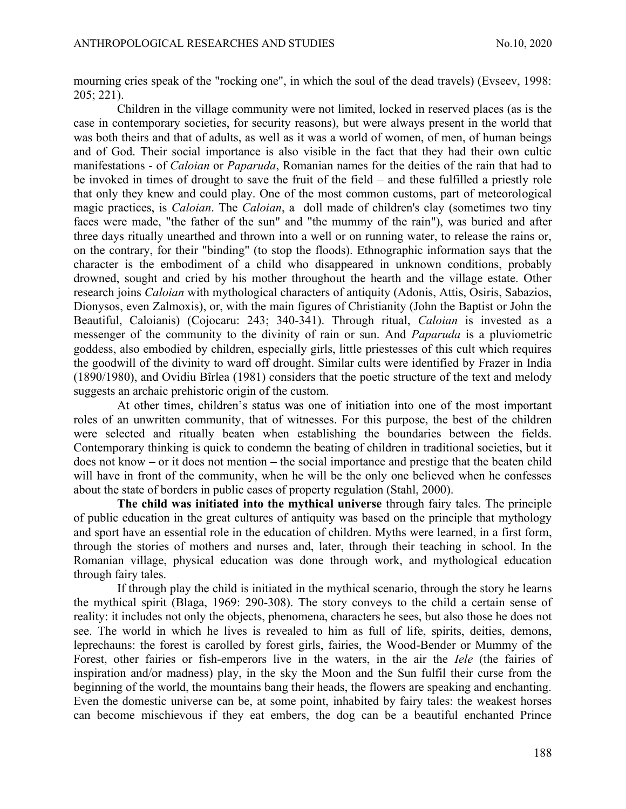ANTHROPOLOGICAL RESEARCHES AND STUDIES<br>
mourning cries speak of the "rocking one", in which the soul of the dead travels) (Evseev, 1998:<br>
205; 221). Children in the village community were not limited. locked in reserved pl mourning cries speak of the "rocking one", in which the soul of the dead travels) (Evseev, 1998: 205; 221).

Children in the village community were not limited, locked in reserved places (as is the case in contemporary societies, for security reasons), but were always present in the world that was both theirs and that of adults, as well as it was a world of women, of men, of human beings and of God. Their social importance is also visible in the fact that they had their own cultic manifestations - of Caloian or Paparuda, Romanian names for the deities of the rain that had to be invoked in times of drought to save the fruit of the field  $-$  and these fulfilled a priestly role that only they knew and could play. One of the most common customs, part of meteorological magic practices, is *Caloian*. The *Caloian*, a doll made of children's clay (sometimes two tiny faces were made, "the father of the sun" and "the mummy of the rain"), was buried and after three days ritually unearthed and thrown into a well or on running water, to release the rains or, on the contrary, for their "binding" (to stop the floods). Ethnographic information says that the character is the embodiment of a child who disappeared in unknown conditions, probably drowned, sought and cried by his mother throughout the hearth and the village estate. Other research joins Caloian with mythological characters of antiquity (Adonis, Attis, Osiris, Sabazios, Dionysos, even Zalmoxis), or, with the main figures of Christianity (John the Baptist or John the Beautiful, Caloianis) (Cojocaru: 243; 340-341). Through ritual, Caloian is invested as a messenger of the community to the divinity of rain or sun. And Paparuda is a pluviometric goddess, also embodied by children, especially girls, little priestesses of this cult which requires the goodwill of the divinity to ward off drought. Similar cults were identified by Frazer in India (1890/1980), and Ovidiu Bîrlea (1981) considers that the poetic structure of the text and melody suggests an archaic prehistoric origin of the custom.

At other times, children's status was one of initiation into one of the most important roles of an unwritten community, that of witnesses. For this purpose, the best of the children were selected and ritually beaten when establishing the boundaries between the fields. Contemporary thinking is quick to condemn the beating of children in traditional societies, but it  $does not know - or it does not mention - the social importance and prestige that the beaten child$ will have in front of the community, when he will be the only one believed when he confesses about the state of borders in public cases of property regulation (Stahl, 2000).

The child was initiated into the mythical universe through fairy tales. The principle of public education in the great cultures of antiquity was based on the principle that mythology and sport have an essential role in the education of children. Myths were learned, in a first form, through the stories of mothers and nurses and, later, through their teaching in school. In the Romanian village, physical education was done through work, and mythological education through fairy tales.

If through play the child is initiated in the mythical scenario, through the story he learns the mythical spirit (Blaga, 1969: 290-308). The story conveys to the child a certain sense of reality: it includes not only the objects, phenomena, characters he sees, but also those he does not see. The world in which he lives is revealed to him as full of life, spirits, deities, demons, leprechauns: the forest is carolled by forest girls, fairies, the Wood-Bender or Mummy of the Forest, other fairies or fish-emperors live in the waters, in the air the Iele (the fairies of inspiration and/or madness) play, in the sky the Moon and the Sun fulfil their curse from the beginning of the world, the mountains bang their heads, the flowers are speaking and enchanting. Even the domestic universe can be, at some point, inhabited by fairy tales: the weakest horses can become mischievous if they eat embers, the dog can be a beautiful enchanted Prince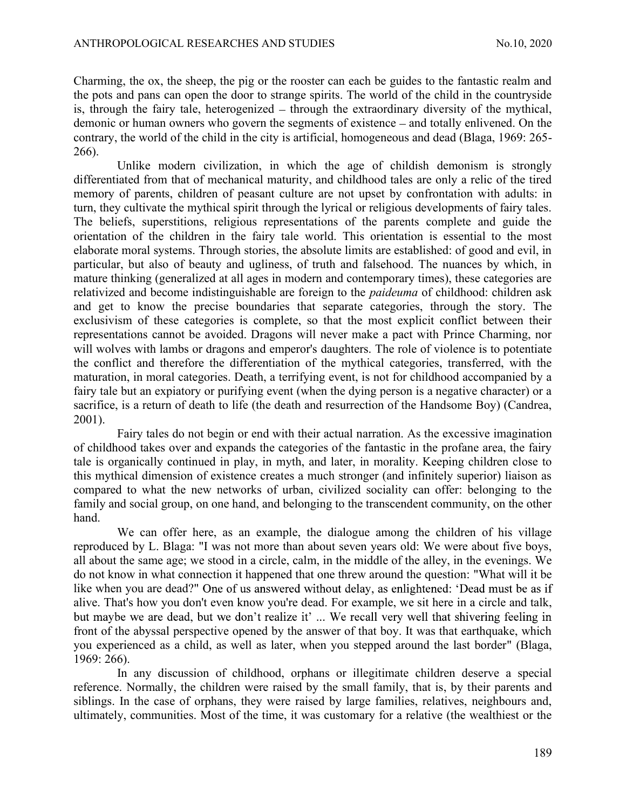ANTHROPOLOGICAL RESEARCHES AND STUDIES<br>
Charming, the ox, the sheep, the pig or the rooster can each be guides to the fantastic realm and<br>
the pots and pans can open the door to strange spirits. The world of the child in t Charming, the ox, the sheep, the pig or the rooster can each be guides to the fantastic realm and the pots and pans can open the door to strange spirits. The world of the child in the countryside is, through the fairy tale, heterogenized  $-$  through the extraordinary diversity of the mythical, demonic or human owners who govern the segments of existence – and totally enlivened. On the contrary, the world of the child in the city is artificial, homogeneous and dead (Blaga, 1969: 265- 266).

Unlike modern civilization, in which the age of childish demonism is strongly differentiated from that of mechanical maturity, and childhood tales are only a relic of the tired memory of parents, children of peasant culture are not upset by confrontation with adults: in turn, they cultivate the mythical spirit through the lyrical or religious developments of fairy tales. The beliefs, superstitions, religious representations of the parents complete and guide the orientation of the children in the fairy tale world. This orientation is essential to the most elaborate moral systems. Through stories, the absolute limits are established: of good and evil, in particular, but also of beauty and ugliness, of truth and falsehood. The nuances by which, in mature thinking (generalized at all ages in modern and contemporary times), these categories are relativized and become indistinguishable are foreign to the *paideuma* of childhood: children ask and get to know the precise boundaries that separate categories, through the story. The exclusivism of these categories is complete, so that the most explicit conflict between their representations cannot be avoided. Dragons will never make a pact with Prince Charming, nor will wolves with lambs or dragons and emperor's daughters. The role of violence is to potentiate the conflict and therefore the differentiation of the mythical categories, transferred, with the maturation, in moral categories. Death, a terrifying event, is not for childhood accompanied by a fairy tale but an expiatory or purifying event (when the dying person is a negative character) or a sacrifice, is a return of death to life (the death and resurrection of the Handsome Boy) (Candrea, 2001).

Fairy tales do not begin or end with their actual narration. As the excessive imagination of childhood takes over and expands the categories of the fantastic in the profane area, the fairy tale is organically continued in play, in myth, and later, in morality. Keeping children close to this mythical dimension of existence creates a much stronger (and infinitely superior) liaison as compared to what the new networks of urban, civilized sociality can offer: belonging to the family and social group, on one hand, and belonging to the transcendent community, on the other hand.

We can offer here, as an example, the dialogue among the children of his village reproduced by L. Blaga: "I was not more than about seven years old: We were about five boys, all about the same age; we stood in a circle, calm, in the middle of the alley, in the evenings. We do not know in what connection it happened that one threw around the question: "What will it be like when you are dead?" One of us answered without delay, as enlightened: 'Dead must be as if alive. That's how you don't even know you're dead. For example, we sit here in a circle and talk, but maybe we are dead, but we don't realize it' ... We recall very well that shivering feeling in front of the abyssal perspective opened by the answer of that boy. It was that earthquake, which you experienced as a child, as well as later, when you stepped around the last border" (Blaga, 1969: 266).

In any discussion of childhood, orphans or illegitimate children deserve a special reference. Normally, the children were raised by the small family, that is, by their parents and siblings. In the case of orphans, they were raised by large families, relatives, neighbours and, ultimately, communities. Most of the time, it was customary for a relative (the wealthiest or the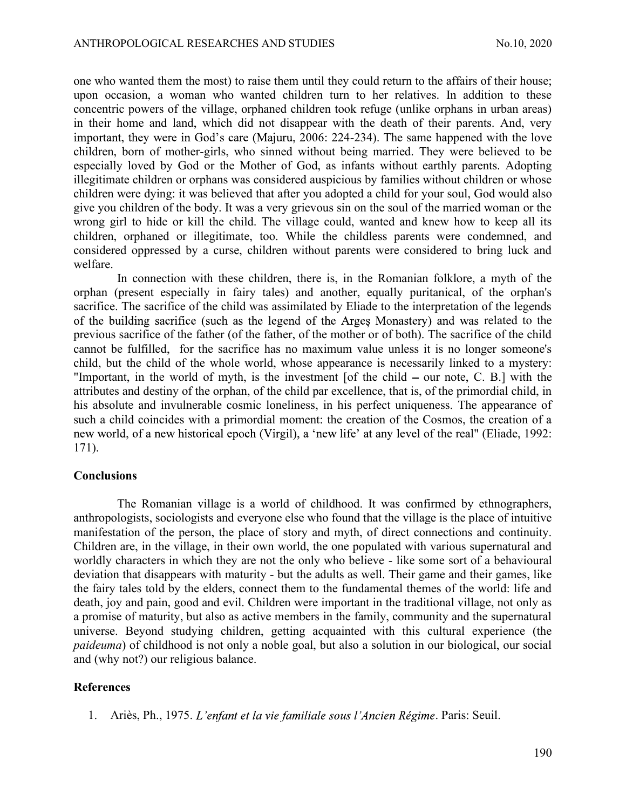ANTHROPOLOGICAL RESEARCHES AND STUDIES<br>
one who wanted them the most) to raise them until they could return to the affairs of their house;<br>
upon occasion, a woman who wanted children turn to her relatives. In addition to t one who wanted them the most) to raise them until they could return to the affairs of their house; upon occasion, a woman who wanted children turn to her relatives. In addition to these concentric powers of the village, orphaned children took refuge (unlike orphans in urban areas) in their home and land, which did not disappear with the death of their parents. And, very important, they were in God's care (Majuru, 2006: 224-234). The same happened with the love children, born of mother-girls, who sinned without being married. They were believed to be especially loved by God or the Mother of God, as infants without earthly parents. Adopting illegitimate children or orphans was considered auspicious by families without children or whose children were dying: it was believed that after you adopted a child for your soul, God would also give you children of the body. It was a very grievous sin on the soul of the married woman or the wrong girl to hide or kill the child. The village could, wanted and knew how to keep all its children, orphaned or illegitimate, too. While the childless parents were condemned, and considered oppressed by a curse, children without parents were considered to bring luck and welfare.

In connection with these children, there is, in the Romanian folklore, a myth of the orphan (present especially in fairy tales) and another, equally puritanical, of the orphan's sacrifice. The sacrifice of the child was assimilated by Eliade to the interpretation of the legends of the building sacrifice (such as the legend of the Arges Monastery) and was related to the previous sacrifice of the father (of the father, of the mother or of both). The sacrifice of the child cannot be fulfilled, for the sacrifice has no maximum value unless it is no longer someone's child, but the child of the whole world, whose appearance is necessarily linked to a mystery: "Important, in the world of myth, is the investment [of the child  $-$  our note, C. B.] with the attributes and destiny of the orphan, of the child par excellence, that is, of the primordial child, in his absolute and invulnerable cosmic loneliness, in his perfect uniqueness. The appearance of such a child coincides with a primordial moment: the creation of the Cosmos, the creation of a new world, of a new historical epoch (Virgil), a 'new life' at any level of the real" (Eliade, 1992: 171).

### Conclusions

The Romanian village is a world of childhood. It was confirmed by ethnographers, anthropologists, sociologists and everyone else who found that the village is the place of intuitive manifestation of the person, the place of story and myth, of direct connections and continuity. Children are, in the village, in their own world, the one populated with various supernatural and worldly characters in which they are not the only who believe - like some sort of a behavioural deviation that disappears with maturity - but the adults as well. Their game and their games, like the fairy tales told by the elders, connect them to the fundamental themes of the world: life and death, joy and pain, good and evil. Children were important in the traditional village, not only as a promise of maturity, but also as active members in the family, community and the supernatural universe. Beyond studying children, getting acquainted with this cultural experience (the paideuma) of childhood is not only a noble goal, but also a solution in our biological, our social and (why not?) our religious balance.

# References

1. Ariès, Ph., 1975. L'enfant et la vie familiale sous l'Ancien Régime. Paris: Seuil.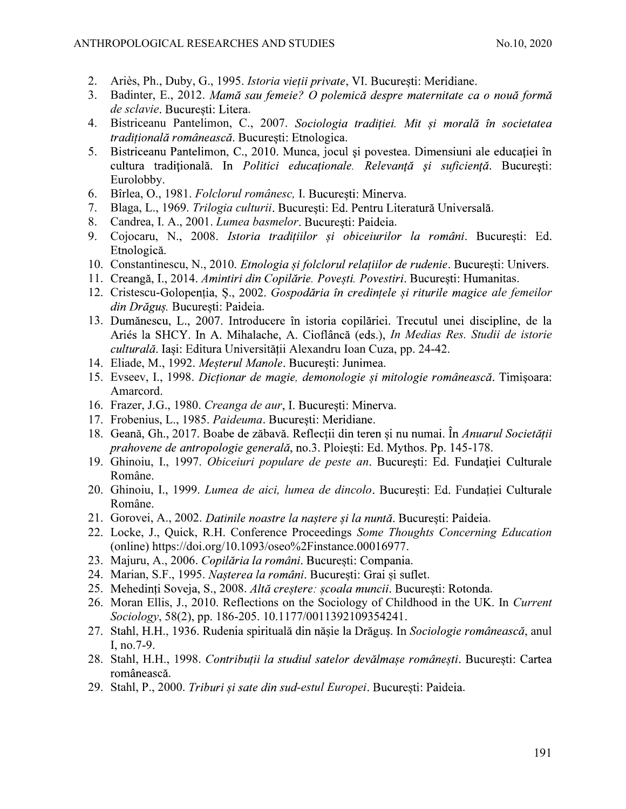- 2. Ariès, Ph., Duby, G., 1995. *Istoria vietii private*, VI. Bucuresti: Meridiane.
- ANTHROPOLOGICAL RESEARCHES AND STUDIES<br>
2. Ariès, Ph., Duby, G., 1995. *Istoria vieții private*, VI. București: Meridiane.<br>
3. Badinter, E., 2012. *Mamă sau femeie? O polemică despre maternitate ca o nouă formă de sclavie* 3. Badinter, E., 2012. Mamă sau femeie? O polemică despre maternitate ca o nouă formă de sclavie. București: Litera.<br>4. Bistriceanu Pantelimon, C., 2007. Sociologia traditiei. Mit si morală în societatea
	-
	- *tradițională românească*. București: Etnologica.<br>5. Bistriceanu Pantelimon, C., 2010. Munca, jocul și povestea. Dimensiuni ale educației în cultura traditională. In Politici educaționale. Relevanță și suficiență. Bucuresti: Eurolobby.
	-
	-
	-
	- 6. Bîrlea, O., 1981. *Folclorul românesc*, I. București: Minerva.<br>7. Blaga, L., 1969. *Trilogia culturii*. București: Ed. Pentru Literatură Universală.<br>8. Candrea, I. A., 2001. *Lumea basmelor*. București: Paideia.<br>9. Cojo
	- Etnologică.<br>10. Constantinescu, N., 2010. *Etnologia și folclorul relațiilor de rudenie*. București: Univers.<br>11. Creangă, I., 2014. *Amintiri din Copilărie. Povești. Povestiri*. București: Humanitas.
	-
	- 12. Cristescu-Golopenția, S., 2002. Gospodăria în credințele și riturile magice ale femeilor din Drăguș. București: Paideia.<br>13. Dumănescu, L., 2007. Introducere în istoria copilăriei. Trecutul unei discipline, de la
	- Ariés la SHCY. In A. Mihalache, A. Cioflâncă (eds.), In Medias Res. Studii de istorie culturală. Iași: Editura Universității Alexandru Ioan Cuza, pp. 24-42.
	-
	- 14. Eliade, M., 1992. Meșterul Manole. București: Junimea.<br>15. Evseev, I., 1998. Dictionar de magie, demonologie si mitologie românească. Timisoara: Amarcord.
	-
	-
	- 16. Frazer, J.G., 1980. Creanga de aur, I. București: Minerva.<br>17. Frobenius, L., 1985. Paideuma. București: Meridiane.<br>18. Geană, Gh., 2017. Boabe de zăbavă. Reflectii din teren și nu numai. În *Anuarul Societătii* prahovene de antropologie generală, no.3. Ploiești: Ed. Mythos. Pp. 145-178.
	- 19. Ghinoiu, I., 1997. Obiceiuri populare de peste an. București: Ed. Fundației Culturale Române.
	- 20. Ghinoiu, I., 1999. Lumea de aici, lumea de dincolo. București: Ed. Fundației Culturale Române.
	-
	- 21. Gorovei, A., 2002. Datinile noastre la naștere și la nuntă. București: Paideia.<br>22. Locke, J., Quick, R.H. Conference Proceedings Some Thoughts Concerning Education (online) https://doi.org/10.1093/oseo%2Finstance.00016977.
	-
	-
	- 23. Majuru, A., 2006. *Copilăria la români*. București: Compania.<br>24. Marian, S.F., 1995. *Nașterea la români*. București: Grai și suflet.<br>25. Mehedinți Soveja, S., 2008. *Altă creștere: școala muncii*. București: Rotonda.
	- Sociology, 58(2), pp. 186-205. 10.1177/0011392109354241.
	- 27. Stahl, H.H., 1936. Rudenia spirituală din nășie la Drăguș. In Sociologie românească, anul I, no.7-9.
	- 28. Stahl, H.H., 1998. Contribuții la studiul satelor devălmașe românești. București: Cartea românească.<br>29. Stahl, P., 2000. Triburi și sate din sud-estul Europei. Bucuresti: Paideia.
	-